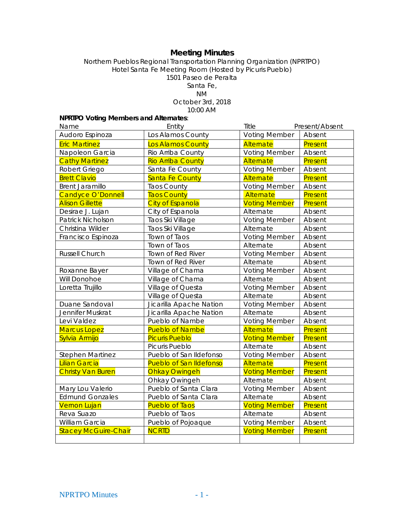# **Meeting Minutes**

#### Northern Pueblos Regional Transportation Planning Organization (NPRTPO) Hotel Santa Fe Meeting Room (Hosted by Picuris Pueblo) 1501 Paseo de Peralta Santa Fe, NM October 3rd, 2018 10:00 AM

## **NPRTPO Voting Members and Alternates**:

| Name                        | Entity                         | Title                | Present/Absent |
|-----------------------------|--------------------------------|----------------------|----------------|
| Audoro Espinoza             | Los Alamos County              | <b>Voting Member</b> | Absent         |
| <b>Eric Martinez</b>        | Los Alamos County              | Alternate            | Present        |
| Napoleon Garcia             | Rio Arriba County              | Voting Member        | Absent         |
| <b>Cathy Martinez</b>       | <b>Rio Arriba County</b>       | Alternate            | Present        |
| Robert Griego               | Santa Fe County                | <b>Voting Member</b> | Absent         |
| <b>Brett Clavio</b>         | Santa Fe County                | Alternate            | Present        |
| <b>Brent Jaramillo</b>      | <b>Taos County</b>             | <b>Voting Member</b> | Absent         |
| <b>Candyce O'Donnell</b>    | <b>Taos County</b>             | Alternate            | Present        |
| <b>Alison Gillette</b>      | <b>City of Espanola</b>        | <b>Voting Member</b> | Present        |
| Desirae J. Lujan            | City of Espanola               | Alternate            | Absent         |
| Patrick Nicholson           | Taos Ski Village               | <b>Voting Member</b> | Absent         |
| Christina Wilder            | Taos Ski Village               | Alternate            | Absent         |
| Francisco Espinoza          | Town of Taos                   | <b>Voting Member</b> | Absent         |
|                             | Town of Taos                   | Alternate            | Absent         |
| <b>Russell Church</b>       | Town of Red River              | <b>Voting Member</b> | Absent         |
|                             | Town of Red River              | Alternate            | Absent         |
| Roxanne Bayer               | Village of Chama               | <b>Voting Member</b> | Absent         |
| Will Donohoe                | Village of Chama               | Alternate            | Absent         |
| Loretta Trujillo            | Village of Questa              | <b>Voting Member</b> | Absent         |
|                             | Village of Questa              | Alternate            | Absent         |
| Duane Sandoval              | Jicarilla Apache Nation        | <b>Voting Member</b> | Absent         |
| Jennifer Muskrat            | Jicarilla Apache Nation        | Alternate            | Absent         |
| Levi Valdez                 | Pueblo of Nambe                | <b>Voting Member</b> | Absent         |
| <b>Marcus Lopez</b>         | <b>Pueblo of Nambe</b>         | Alternate            | Present        |
| Sylvia Armijo               | <b>Picuris Pueblo</b>          | <b>Voting Member</b> | Present        |
|                             | Picuris Pueblo                 | Alternate            | Absent         |
| Stephen Martinez            | Pueblo of San Ildefonso        | <b>Voting Member</b> | Absent         |
| <b>Lilian Garcia</b>        | <b>Pueblo of San Ildefonso</b> | Alternate            | Present        |
| <b>Christy Van Buren</b>    | <b>Ohkay Owingeh</b>           | <b>Voting Member</b> | Present        |
|                             | Ohkay Owingeh                  | Alternate            | Absent         |
| Mary Lou Valerio            | Pueblo of Santa Clara          | <b>Voting Member</b> | Absent         |
| <b>Edmund Gonzales</b>      | Pueblo of Santa Clara          | Alternate            | Absent         |
| <b>Vernon Lujan</b>         | <b>Pueblo of Taos</b>          | <b>Voting Member</b> | Present        |
| Reva Suazo                  | Pueblo of Taos                 | Alternate            | Absent         |
| William Garcia              | Pueblo of Pojoaque             | <b>Voting Member</b> | Absent         |
| <b>Stacey McGuire-Chair</b> | <b>NCRTD</b>                   | <b>Voting Member</b> | Present        |
|                             |                                |                      |                |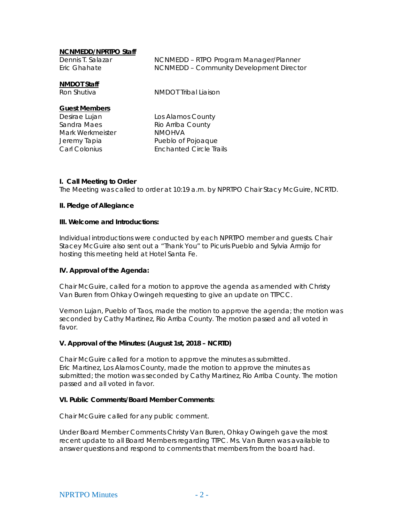## **NCNMEDD/NPRTPO Staff**

| Dennis T. Salazar<br>Eric Ghahate                                                                                | NCNMEDD - RTPO Program Manager/Planner<br>NCNMEDD - Community Development Director                              |
|------------------------------------------------------------------------------------------------------------------|-----------------------------------------------------------------------------------------------------------------|
| <b>NMDOT Staff</b><br>Ron Shutiva                                                                                | NMDOT Tribal Liaison                                                                                            |
| <b>Guest Members</b><br>Desirae Lujan<br>Sandra Maes<br>Mark Werkmeister<br>Jeremy Tapia<br><b>Carl Colonius</b> | Los Alamos County<br>Rio Arriba County<br><b>NMOHVA</b><br>Pueblo of Pojoaque<br><b>Enchanted Circle Trails</b> |
|                                                                                                                  |                                                                                                                 |

### **I. Call Meeting to Order**

The Meeting was called to order at 10:19 a.m. by NPRTPO Chair Stacy McGuire, NCRTD.

#### **II. Pledge of Allegiance**

#### **III. Welcome and Introductions:**

Individual introductions were conducted by each NPRTPO member and guests. Chair Stacey McGuire also sent out a "Thank You" to Picuris Pueblo and Sylvia Armijo for hosting this meeting held at Hotel Santa Fe.

#### **IV. Approval of the Agenda:**

Chair McGuire, called for a motion to approve the agenda as amended with Christy Van Buren from Ohkay Owingeh requesting to give an update on TTPCC.

Vernon Lujan, Pueblo of Taos, made the motion to approve the agenda; the motion was seconded by Cathy Martinez, Rio Arriba County. The motion passed and all voted in favor.

#### **V. Approval of the Minutes: (August 1st, 2018 – NCRTD)**

Chair McGuire called for a motion to approve the minutes as submitted. Eric Martinez, Los Alamos County, made the motion to approve the minutes as submitted; the motion was seconded by Cathy Martinez, Rio Arriba County. The motion passed and all voted in favor.

#### **VI. Public Comments/Board Member Comments**:

Chair McGuire called for any public comment.

Under Board Member Comments Christy Van Buren, Ohkay Owingeh gave the most recent update to all Board Members regarding TTPC. Ms. Van Buren was available to answer questions and respond to comments that members from the board had.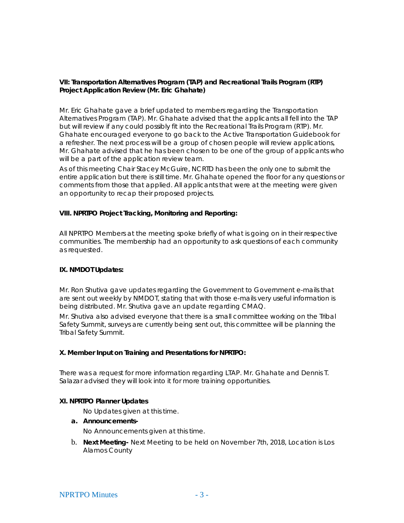## **VII: Transportation Alternatives Program (TAP) and Recreational Trails Program (RTP) Project Application Review (Mr. Eric Ghahate)**

Mr. Eric Ghahate gave a brief updated to members regarding the Transportation Alternatives Program (TAP). Mr. Ghahate advised that the applicants all fell into the TAP but will review if any could possibly fit into the Recreational Trails Program (RTP). Mr. Ghahate encouraged everyone to go back to the Active Transportation Guidebook for a refresher. The next process will be a group of chosen people will review applications, Mr. Ghahate advised that he has been chosen to be one of the group of applicants who will be a part of the application review team.

As of this meeting Chair Stacey McGuire, NCRTD has been the only one to submit the entire application but there is still time. Mr. Ghahate opened the floor for any questions or comments from those that applied. All applicants that were at the meeting were given an opportunity to recap their proposed projects.

### **VIII. NPRTPO Project Tracking, Monitoring and Reporting:**

All NPRTPO Members at the meeting spoke briefly of what is going on in their respective communities. The membership had an opportunity to ask questions of each community as requested.

### **IX. NMDOT Updates:**

Mr. Ron Shutiva gave updates regarding the Government to Government e-mails that are sent out weekly by NMDOT, stating that with those e-mails very useful information is being distributed. Mr. Shutiva gave an update regarding CMAQ.

Mr. Shutiva also advised everyone that there is a small committee working on the Tribal Safety Summit, surveys are currently being sent out, this committee will be planning the Tribal Safety Summit.

## **X. Member Input on Training and Presentations for NPRTPO:**

There was a request for more information regarding LTAP. Mr. Ghahate and Dennis T. Salazar advised they will look into it for more training opportunities.

### **XI. NPRTPO Planner Updates**

No Updates given at this time.

**a. Announcements-**

No Announcements given at this time.

b. **Next Meeting-** Next Meeting to be held on November 7th, 2018, Location is Los Alamos County